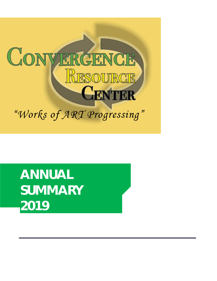

**ANNUAL SUMMARY 2019**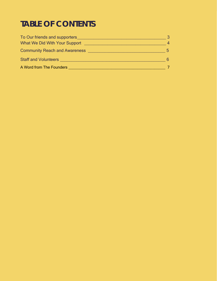# **TABLE OF CONTENTS**

| To Our friends and supporters        |    |
|--------------------------------------|----|
| What We Did With Your Support        | 4  |
| <b>Community Reach and Awareness</b> | 5. |
| <b>Staff and Volunteers</b>          | 6  |
| A Word from The Founders             |    |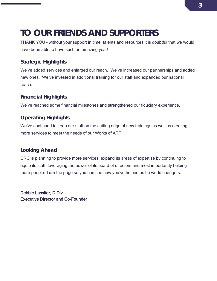# <span id="page-2-0"></span>**TO OUR FRIENDS AND SUPPORTERS**

THANK YOU – without your support in time, talents and resources it is doubtful that we would have been able to have such an amazing year!

### **Strategic Highlights**

We've added services and enlarged our reach. We've increased our partnerships and added new ones. We've invested in additional training for our staff and expanded our national reach.

### **Financial Highlights**

We've reached some financial milestones and strengthened our fiduciary experience.

### **Operating Highlights**

We've continued to keep our staff on the cutting edge of new trainings as well as creating more services to meet the needs of our Works of ART.

### **Looking Ahead**

CRC is planning to provide more services, expand its areas of expertise by continuing to equip its staff, leveraging the power of its board of directors and most importantly helping more people. Turn the page so you can see how you've helped us be world changers.

Debbie Lassiter, D.Div Executive Director and Co-Founder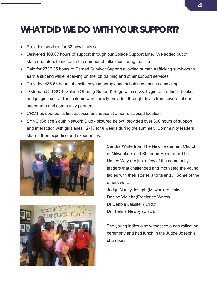# **WHAT DID WE DO WITH YOUR SUPPORT?**

- Provided services for 33 new intakes
- Delivered 108.87 hours of support through our Solace Support Line. We added out of state operators to increase the number of folks monitoring the line
- Paid for 2737.35 hours of Earned Survivor Support allowing human trafficking survivors to earn a stipend while receiving on the job training and other support services.
- Provided 435.63 hours of onsite psychotherapy and substance abuse counseling
- Distributed 33 SOS (Solace Offering Support) Bags with socks, hygiene products, books, and jogging suits. These items were largely provided through drives from several of our supporters and community partners.
- CRC has opened its first assessment house at a non-disclosed location.
- SYNC (Solace Youth Network Club pictured below) provided over 300 hours of support and interaction with girls ages 12-17 for 8 weeks during the summer. Community leaders shared their expertise and experiences.





Sandra White from The New Testament Church of Milwaukee and Shannon Reed from The United Way are just a few of the community leaders that challenged and motivated the young ladies with their stories and talents. Some of the others were:

Judge Nancy Joseph (Milwaukee Links) Denise Vielehr (Freelance Writer) Dr Debbie Lassiter ( CRC) Dr Thelma Newby (CRC).

The young ladies also witnessed a naturalization ceremony and had lunch in the Judge Joseph's chambers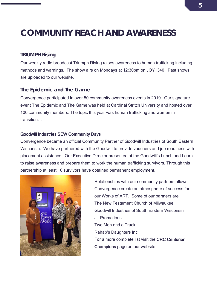# **COMMUNITY REACH AND AWARENESS**

#### **TRIUMPH Rising**

Our weekly radio broadcast Triumph Rising raises awareness to human trafficking including methods and warnings. The show airs on Mondays at 12:30pm on JOY1340. Past shows are uploaded to our website.

#### **The Epidemic and The Game**

Convergence participated in over 50 community awareness events in 2019. Our signature event The Epidemic and The Game was held at Cardinal Stritch University and hosted over 100 community members. The topic this year was human trafficking and women in transition. .

#### Goodwill Industries SEW Community Days

Convergence became an official Community Partner of Goodwill Industries of South Eastern Wisconsin. We have partnered with the Goodwill to provide vouchers and job readiness with placement assistance. Our Executive Director presented at the Goodwill's Lunch and Learn to raise awareness and prepare them to work the human trafficking survivors. Through this partnership at least 10 survivors have obtained permanent employment.



Relationships with our community partners allows Convergence create an atmosphere of success for our Works of ART. Some of our partners are: The New Testament Church of Milwaukee Goodwill Industries of South Eastern Wisconsin JL Promotions Two Men and a Truck Rahab's Daughters Inc For a more complete list visit the CRC Centurion Champions page on our website.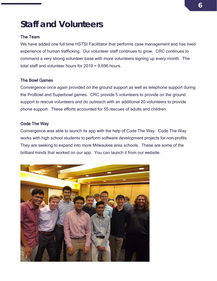# **Staff and Volunteers**

#### The Team

We have added one full time HSTSI Facilitator that performs case management and has lived experience of human trafficking. Our volunteer staff continues to grow. CRC continues to command a very strong volunteer base with more volunteers signing up every month. The total staff and volunteer hours for 2019 = 9,696 hours.

#### The Bowl Games

Convergence once again provided on the ground support as well as telephone support during the ProBowl and Superbowl games. CRC provide 5 volunteers to provide on the ground support to rescue volunteers and do outreach with an additional 20 volunteers to provide phone support. These efforts accounted for 55 rescues of adults and children.

#### Code The Way

Convergence was able to launch its app with the help of Code The Way. Code The Way works with high school students to perform software development projects for non-profits. They are seeking to expand into more Milwaukee area schools. These are some of the brilliant minds that worked on our app. You can launch it from our website.

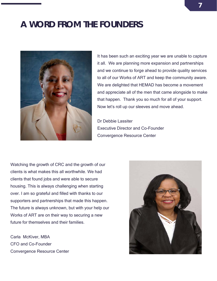## **A WORD FROM THE FOUNDERS**



It has been such an exciting year we are unable to capture it all. We are planning more expansion and partnerships and we continue to forge ahead to provide quality services to all of our Works of ART and keep the community aware. We are delighted that HEMAD has become a movement and appreciate all of the men that came alongside to make that happen. Thank you so much for all of your support. Now let's roll up our sleeves and move ahead.

Dr Debbie Lassiter Executive Director and Co-Founder Convergence Resource Center

Watching the growth of CRC and the growth of our clients is what makes this all worthwhile. We had clients that found jobs and were able to secure housing. This is always challenging when starting over. I am so grateful and filled with thanks to our supporters and partnerships that made this happen. The future is always unknown, but with your help our Works of ART are on their way to securing a new future for themselves and their families.

Carla McKiver, MBA CFO and Co-Founder Convergence Resource Center